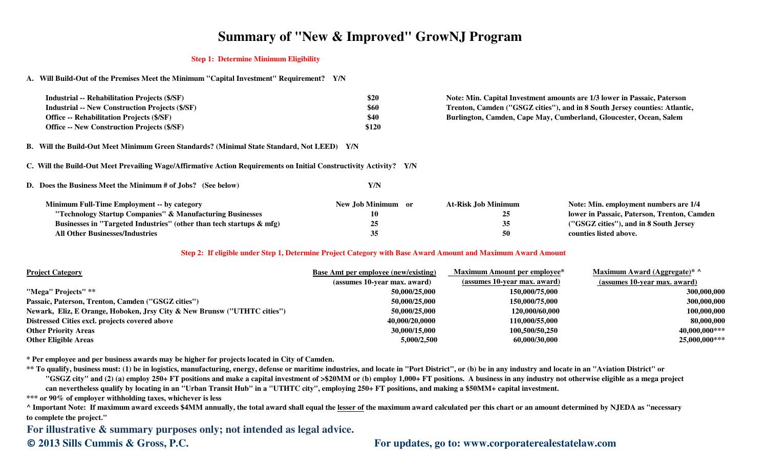# **Summary of "New & Improved" GrowNJ Program**

#### **Step 1: Determine Minimum Eligibility**

**A. Will Build-Out of the Premises Meet the Minimum "Capital Investment" Requirement? Y/N**

| <b>Industrial -- Rehabilitation Projects (\$/SF)</b>   | \$20  |
|--------------------------------------------------------|-------|
| <b>Industrial -- New Construction Projects (\$/SF)</b> | \$60  |
| <b>Office -- Rehabilitation Projects (\$/SF)</b>       | \$40  |
| <b>Office -- New Construction Projects (\$/SF)</b>     | \$120 |

**B. Will the Build-Out Meet Minimum Green Standards? (Minimal State Standard, Not LEED) Y/N**

**C. Will the Build-Out Meet Prevailing Wage/Affirmative Action Requirements on Initial Constructivity Activity? Y/N**

**D. Does the Business Meet the Minimum # of Jobs? (See below)Y/N**

 **\$20 Note: Min. Capital Investment amounts are 1/3 lower in Passaic, Paterson \$60 Trenton, Camden ("GSGZ cities"), and in 8 South Jersey counties: Atlantic, \$40 Burlington, Camden, Cape May, Cumberland, Gloucester, Ocean, Salem**

| <b>Minimum Full-Time Employment -- by category</b>                      | New Job Minimum or | At-Risk Job Minimum | Note: Min. employment numbers are 1/4       |
|-------------------------------------------------------------------------|--------------------|---------------------|---------------------------------------------|
| "Technology Startup Companies" & Manufacturing Businesses               | 10                 | 25                  | lower in Passaic, Paterson, Trenton, Camden |
| Businesses in "Targeted Industries" (other than tech startups $\&$ mfg) |                    | 35                  | ("GSGZ cities"), and in 8 South Jersey      |
| <b>All Other Businesses/Industries</b>                                  |                    | 50                  | counties listed above.                      |

### **Step 2: If eligible under Step 1, Determine Project Category with Base Award Amount and Maximum Award Amount**

| <b>Project Category</b>                                                  | <b>Base Amt per employee (new/existing)</b> | <b>Maximum Amount per employee*</b> | Maximum Award (Aggregate)* ^ |
|--------------------------------------------------------------------------|---------------------------------------------|-------------------------------------|------------------------------|
|                                                                          | (assumes 10-year max. award)                | (assumes 10-year max. award)        | (assumes 10-year max. award) |
| "Mega" Projects" **                                                      | 50,000/25,000                               | 150,000/75,000                      | 300,000,000                  |
| Passaic, Paterson, Trenton, Camden ("GSGZ cities")                       | 50,000/25,000                               | 150,000/75,000                      | 300,000,000                  |
| Newark, Eliz, E Orange, Hoboken, Jrsy City & New Brunsw ("UTHTC cities") | 50,000/25,000                               | 120,000/60,000                      | 100,000,000                  |
| Distressed Cities excl. projects covered above                           | 40,000/20,0000                              | 110,000/55,000                      | 80,000,000                   |
| <b>Other Priority Areas</b>                                              | 30,000/15,000                               | 100,500/50,250                      | $40,000,000***$              |
| <b>Other Eligible Areas</b>                                              | 5,000/2,500                                 | 60,000/30,000                       | 25,000,000***                |

**\* Per employee and per business awards may be higher for projects located in City of Camden.**

**\*\* To qualify, business must: (1) be in logistics, manufacturing, energy, defense or maritime industries, and locate in "Port District", or (b) be in any industry and locate in an "Aviation District" or "GSGZ city" and (2) (a) employ 250+ FT positions and make a capital investment of >\$20MM or (b) employ 1,000+ FT positions. A business in any industry not otherwise eligible as a mega project can nevertheless qualify by locating in an "Urban Transit Hub" in a "UTHTC city", employing 250+ FT positions, and making a \$50MM+ capital investment.**

**\*\*\* or 90% of employer withholding taxes, whichever is less**

 **^ Important Note: If maximum award exceeds \$4MM annually, the total award shall equal the lesser of the maximum award calculated per this chart or an amount determined by NJEDA as "necessaryto complete the project."**

**For illustrative & summary purposes only; not intended as legal advice.**

### **© 2013 Sills Cummis & Gross, P.C. For updates, go to: www.corporaterealestatelaw.com**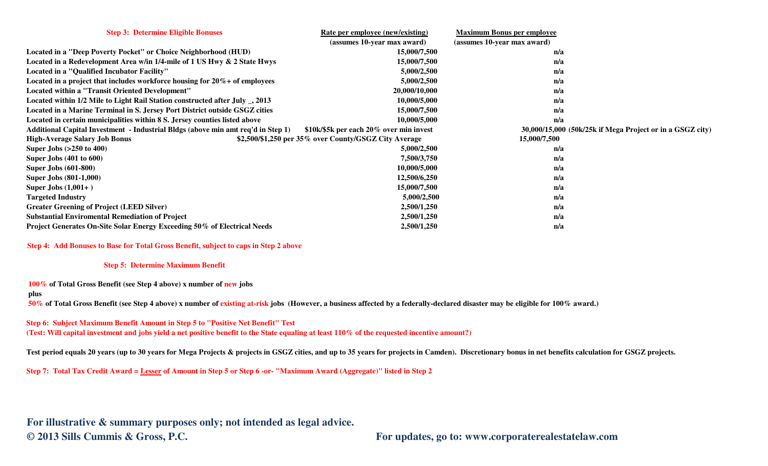| <b>Step 3: Determine Eligible Bonuses</b>                                        | Rate per employee (new/existing)                      | <b>Maximum Bonus per employee</b>                         |
|----------------------------------------------------------------------------------|-------------------------------------------------------|-----------------------------------------------------------|
|                                                                                  | (assumes 10-year max award)                           | (assumes 10-year max award)                               |
| Located in a "Deep Poverty Pocket" or Choice Neighborhood (HUD)                  | 15,000/7,500                                          | n/a                                                       |
| Located in a Redevelopment Area w/in 1/4-mile of 1 US Hwy & 2 State Hwys         | 15,000/7,500                                          | n/a                                                       |
| Located in a "Qualified Incubator Facility"                                      | 5,000/2,500                                           | n/a                                                       |
| Located in a project that includes workforce housing for $20\%$ + of employees   | 5,000/2,500                                           | n/a                                                       |
| <b>Located within a "Transit Oriented Development"</b>                           | 20,000/10,000                                         | n/a                                                       |
| Located within 1/2 Mile to Light Rail Station constructed after July _, 2013     | 10,000/5,000                                          | n/a                                                       |
| Located in a Marine Terminal in S. Jersey Port District outside GSGZ cities      | 15,000/7,500                                          | n/a                                                       |
| Located in certain municipalities within 8 S. Jersey counties listed above       | 10,000/5,000                                          | n/a                                                       |
| Additional Capital Investment - Industrial Bldgs (above min amt req'd in Step 1) | \$10k/\$5k per each 20% over min invest               | 30,000/15,000 (50k/25k if Mega Project or in a GSGZ city) |
| <b>High-Average Salary Job Bonus</b>                                             | \$2,500/\$1,250 per 35% over County/GSGZ City Average | 15,000/7,500                                              |
| Super Jobs $(>250 \text{ to } 400)$                                              | 5,000/2,500                                           | n/a                                                       |
| <b>Super Jobs (401 to 600)</b>                                                   | 7,500/3,750                                           | n/a                                                       |
| <b>Super Jobs (601-800)</b>                                                      | 10,000/5,000                                          | n/a                                                       |
| <b>Super Jobs (801-1,000)</b>                                                    | 12,500/6,250                                          | n/a                                                       |
| Super Jobs $(1,001+)$                                                            | 15,000/7,500                                          | n/a                                                       |
| <b>Targeted Industry</b>                                                         | 5,000/2,500                                           | n/a                                                       |
| <b>Greater Greening of Project (LEED Silver)</b>                                 | 2,500/1,250                                           | n/a                                                       |
| <b>Substantial Enviromental Remediation of Project</b>                           | 2,500/1,250                                           | n/a                                                       |
| <b>Project Generates On-Site Solar Energy Exceeding 50% of Electrical Needs</b>  | 2,500/1,250                                           | n/a                                                       |

**Step 4: Add Bonuses to Base for Total Gross Benefit, subject to caps in Step 2 above**

#### **Step 5: Determine Maximum Benefit**

**100% of Total Gross Benefit (see Step 4 above) x number of new jobs** 

#### **plus**

 **50% of Total Gross Benefit (see Step 4 above) x number of existing at-risk jobs (However, a business affected by a federally-declared disaster may be eligible for 100% award.)**

**Step 6: Subject Maximum Benefit Amount in Step 5 to "Positive Net Benefit" Test(Test: Will capital investment and jobs yield a net positive benefit to the State equaling at least 110% of the requested incentive amount?)**

Test period equals 20 years (up to 30 years for Mega Projects & projects in GSGZ cities, and up to 35 years for projects in Camden). Discretionary bonus in net benefits calculation for GSGZ projects.

**Step 7: Total Tax Credit Award = Lesser of Amount in Step 5 or Step 6 -or- "Maximum Award (Aggregate)" listed in Step 2**

**For illustrative & summary purposes only; not intended as legal advice.© 2013 Sills Cummis & Gross, P.C. For updates, go to: www.corporaterealestatelaw.com**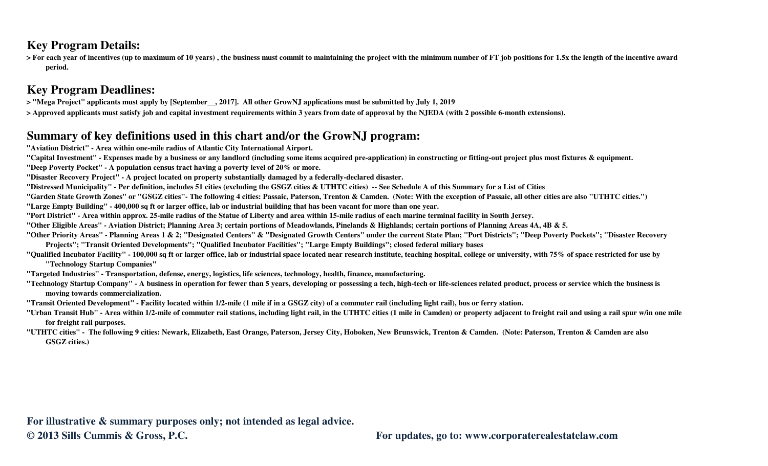### **Key Program Details:**

 **> For each year of incentives (up to maximum of 10 years) , the business must commit to maintaining the project with the minimum number of FT job positions for 1.5x the length of the incentive award period.**

## **Key Program Deadlines:**

**> "Mega Project" applicants must apply by [September\_\_, 2017]. All other GrowNJ applications must be submitted by July 1, 2019**

**> Approved applicants must satisfy job and capital investment requirements within 3 years from date of approval by the NJEDA (with 2 possible 6-month extensions).**

## **Summary of key definitions used in this chart and/or the GrowNJ program:**

**"Aviation District" - Area within one-mile radius of Atlantic City International Airport.**

**"Capital Investment" - Expenses made by a business or any landlord (including some items acquired pre-application) in constructing or fitting-out project plus most fixtures & equipment.**

**"Deep Poverty Pocket" - A population census tract having a poverty level of 20% or more.**

**"Disaster Recovery Project" - A project located on property substantially damaged by a federally-declared disaster.**

**"Distressed Municipality" - Per definition, includes 51 cities (excluding the GSGZ cities & UTHTC cities) -- See Schedule A of this Summary for a List of Cities**

**"Garden State Growth Zones" or "GSGZ cities"- The following 4 cities: Passaic, Paterson, Trenton & Camden. (Note: With the exception of Passaic, all other cities are also "UTHTC cities.")**

**"Large Empty Building" - 400,000 sq ft or larger office, lab or industrial building that has been vacant for more than one year.**

**"Port District" - Area within approx. 25-mile radius of the Statue of Liberty and area within 15-mile radius of each marine terminal facility in South Jersey.**

**"Other Eligible Areas" - Aviation District; Planning Area 3; certain portions of Meadowlands, Pinelands & Highlands; certain portions of Planning Areas 4A, 4B & 5.**

**"Other Priority Areas" - Planning Areas 1 & 2; "Designated Centers" & "Designated Growth Centers" under the current State Plan; "Port Districts"; "Deep Poverty Pockets"; "Disaster Recovery Projects"; "Transit Oriented Developments"; "Qualified Incubator Facilities"; "Large Empty Buildings"; closed federal miliary bases**

 **"Qualified Incubator Facility" - 100,000 sq ft or larger office, lab or industrial space located near research institute, teaching hospital, college or university, with 75% of space restricted for use by "Technology Startup Companies"**

**"Targeted Industries" - Transportation, defense, energy, logistics, life sciences, technology, health, finance, manufacturing.**

**"Technology Startup Company" - A business in operation for fewer than 5 years, developing or possessing a tech, high-tech or life-sciences related product, process or service which the business is moving towards commercialization.**

**"Transit Oriented Development" - Facility located within 1/2-mile (1 mile if in a GSGZ city) of a commuter rail (including light rail), bus or ferry station.**

**"Urban Transit Hub" - Area within 1/2-mile of commuter rail stations, including light rail, in the UTHTC cities (1 mile in Camden) or property adjacent to freight rail and using a rail spur w/in one mile for freight rail purposes.**

**"UTHTC cities" - The following 9 cities: Newark, Elizabeth, East Orange, Paterson, Jersey City, Hoboken, New Brunswick, Trenton & Camden. (Note: Paterson, Trenton & Camden are also GSGZ cities.)**

**For illustrative & summary purposes only; not intended as legal advice.© 2013 Sills Cummis & Gross, P.C. For updates, go to: www.corporaterealestatelaw.com**